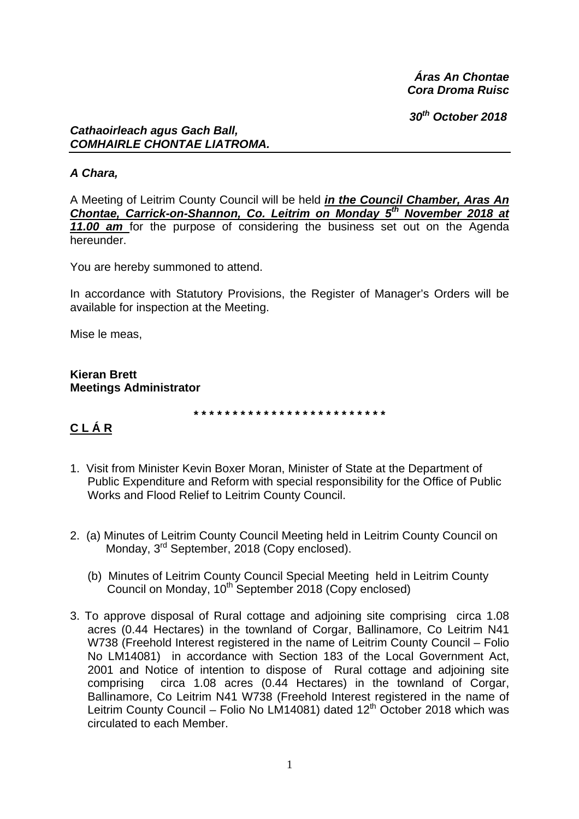*Áras An Chontae Cora Droma Ruisc* 

 *30th October 2018* 

#### *Cathaoirleach agus Gach Ball, COMHAIRLE CHONTAE LIATROMA.*

#### *A Chara,*

A Meeting of Leitrim County Council will be held *in the Council Chamber, Aras An Chontae, Carrick-on-Shannon, Co. Leitrim on Monday 5th November 2018 at 11.00 am* for the purpose of considering the business set out on the Agenda hereunder.

You are hereby summoned to attend.

In accordance with Statutory Provisions, the Register of Manager's Orders will be available for inspection at the Meeting.

Mise le meas,

**Kieran Brett Meetings Administrator** 

**\* \* \* \* \* \* \* \* \* \* \* \* \* \* \* \* \* \* \* \* \* \* \* \* \*** 

# **C L Á R**

- 1. Visit from Minister Kevin Boxer Moran, Minister of State at the Department of Public Expenditure and Reform with special responsibility for the Office of Public Works and Flood Relief to Leitrim County Council.
- 2. (a) Minutes of Leitrim County Council Meeting held in Leitrim County Council on Monday, 3<sup>rd</sup> September, 2018 (Copy enclosed).
	- (b) Minutes of Leitrim County Council Special Meeting held in Leitrim County Council on Monday, 10<sup>th</sup> September 2018 (Copy enclosed)
- 3. To approve disposal of Rural cottage and adjoining site comprising circa 1.08 acres (0.44 Hectares) in the townland of Corgar, Ballinamore, Co Leitrim N41 W738 (Freehold Interest registered in the name of Leitrim County Council – Folio No LM14081) in accordance with Section 183 of the Local Government Act, 2001 and Notice of intention to dispose of Rural cottage and adjoining site comprising circa 1.08 acres (0.44 Hectares) in the townland of Corgar, Ballinamore, Co Leitrim N41 W738 (Freehold Interest registered in the name of Leitrim County Council – Folio No LM14081) dated 12<sup>th</sup> October 2018 which was circulated to each Member.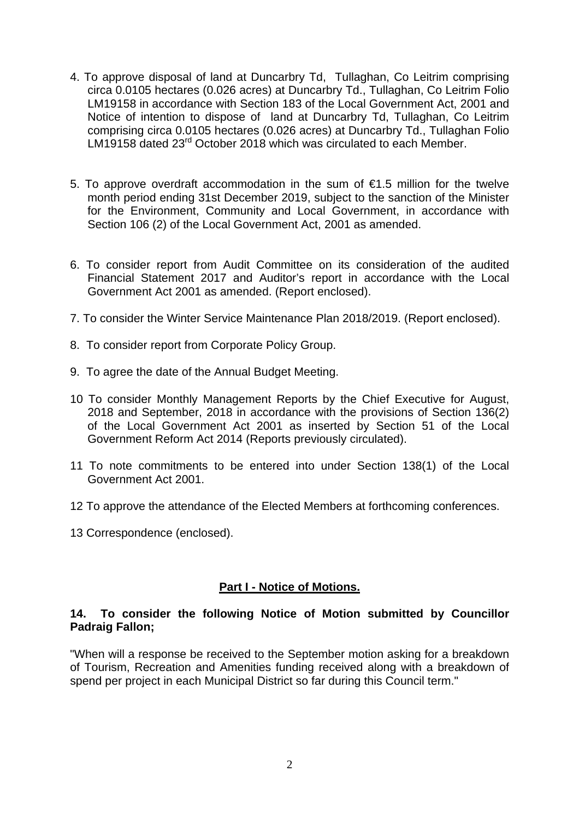- 4. To approve disposal of land at Duncarbry Td, Tullaghan, Co Leitrim comprising circa 0.0105 hectares (0.026 acres) at Duncarbry Td., Tullaghan, Co Leitrim Folio LM19158 in accordance with Section 183 of the Local Government Act, 2001 and Notice of intention to dispose of land at Duncarbry Td, Tullaghan, Co Leitrim comprising circa 0.0105 hectares (0.026 acres) at Duncarbry Td., Tullaghan Folio LM19158 dated 23<sup>rd</sup> October 2018 which was circulated to each Member.
- 5. To approve overdraft accommodation in the sum of €1.5 million for the twelve month period ending 31st December 2019, subject to the sanction of the Minister for the Environment, Community and Local Government, in accordance with Section 106 (2) of the Local Government Act, 2001 as amended.
- 6. To consider report from Audit Committee on its consideration of the audited Financial Statement 2017 and Auditor's report in accordance with the Local Government Act 2001 as amended. (Report enclosed).
- 7. To consider the Winter Service Maintenance Plan 2018/2019. (Report enclosed).
- 8. To consider report from Corporate Policy Group.
- 9. To agree the date of the Annual Budget Meeting.
- 10 To consider Monthly Management Reports by the Chief Executive for August, 2018 and September, 2018 in accordance with the provisions of Section 136(2) of the Local Government Act 2001 as inserted by Section 51 of the Local Government Reform Act 2014 (Reports previously circulated).
- 11 To note commitments to be entered into under Section 138(1) of the Local Government Act 2001.
- 12 To approve the attendance of the Elected Members at forthcoming conferences.
- 13 Correspondence (enclosed).

#### **Part I - Notice of Motions.**

#### **14. To consider the following Notice of Motion submitted by Councillor Padraig Fallon;**

"When will a response be received to the September motion asking for a breakdown of Tourism, Recreation and Amenities funding received along with a breakdown of spend per project in each Municipal District so far during this Council term."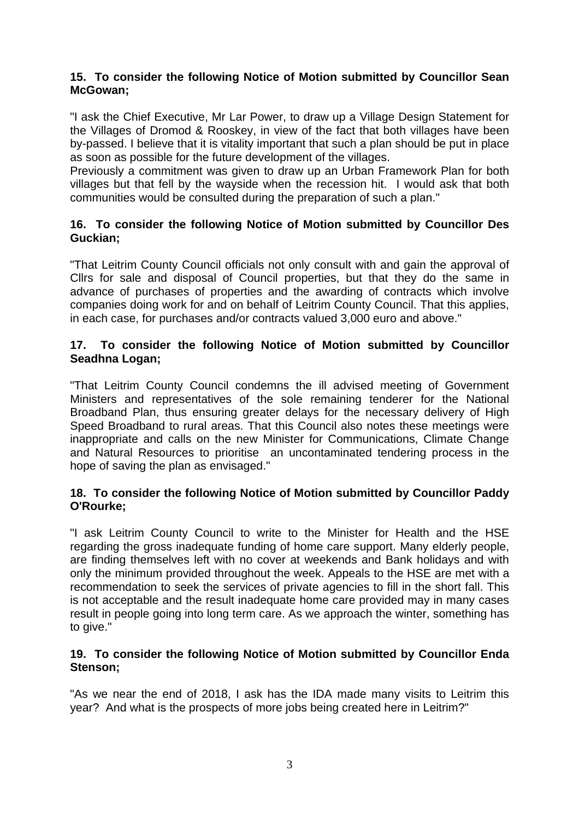#### **15. To consider the following Notice of Motion submitted by Councillor Sean McGowan;**

"I ask the Chief Executive, Mr Lar Power, to draw up a Village Design Statement for the Villages of Dromod & Rooskey, in view of the fact that both villages have been by-passed. I believe that it is vitality important that such a plan should be put in place as soon as possible for the future development of the villages.

Previously a commitment was given to draw up an Urban Framework Plan for both villages but that fell by the wayside when the recession hit. I would ask that both communities would be consulted during the preparation of such a plan."

# **16. To consider the following Notice of Motion submitted by Councillor Des Guckian;**

"That Leitrim County Council officials not only consult with and gain the approval of Cllrs for sale and disposal of Council properties, but that they do the same in advance of purchases of properties and the awarding of contracts which involve companies doing work for and on behalf of Leitrim County Council. That this applies, in each case, for purchases and/or contracts valued 3,000 euro and above."

# **17. To consider the following Notice of Motion submitted by Councillor Seadhna Logan;**

"That Leitrim County Council condemns the ill advised meeting of Government Ministers and representatives of the sole remaining tenderer for the National Broadband Plan, thus ensuring greater delays for the necessary delivery of High Speed Broadband to rural areas. That this Council also notes these meetings were inappropriate and calls on the new Minister for Communications, Climate Change and Natural Resources to prioritise an uncontaminated tendering process in the hope of saving the plan as envisaged."

# **18. To consider the following Notice of Motion submitted by Councillor Paddy O'Rourke;**

"I ask Leitrim County Council to write to the Minister for Health and the HSE regarding the gross inadequate funding of home care support. Many elderly people, are finding themselves left with no cover at weekends and Bank holidays and with only the minimum provided throughout the week. Appeals to the HSE are met with a recommendation to seek the services of private agencies to fill in the short fall. This is not acceptable and the result inadequate home care provided may in many cases result in people going into long term care. As we approach the winter, something has to give."

# **19. To consider the following Notice of Motion submitted by Councillor Enda Stenson;**

"As we near the end of 2018, I ask has the IDA made many visits to Leitrim this year? And what is the prospects of more jobs being created here in Leitrim?"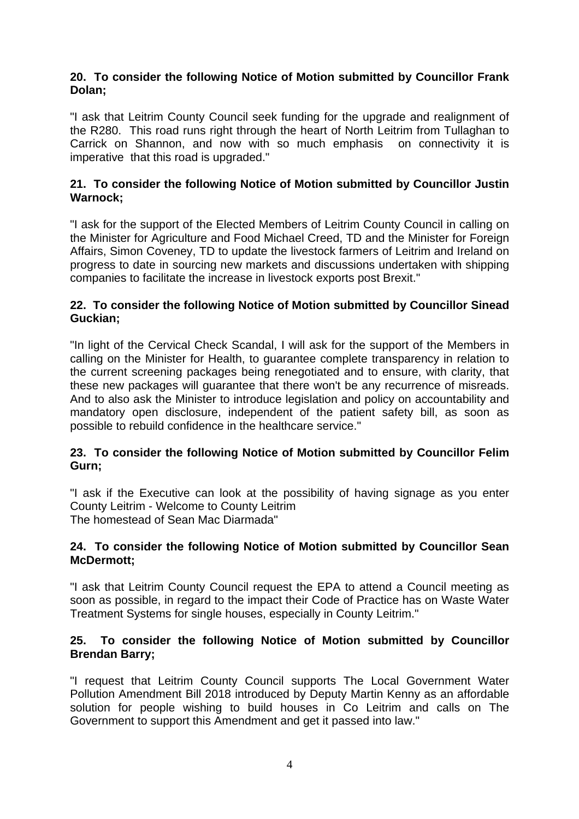#### **20. To consider the following Notice of Motion submitted by Councillor Frank Dolan;**

"I ask that Leitrim County Council seek funding for the upgrade and realignment of the R280. This road runs right through the heart of North Leitrim from Tullaghan to Carrick on Shannon, and now with so much emphasis on connectivity it is imperative that this road is upgraded."

# **21. To consider the following Notice of Motion submitted by Councillor Justin Warnock;**

"I ask for the support of the Elected Members of Leitrim County Council in calling on the Minister for Agriculture and Food Michael Creed, TD and the Minister for Foreign Affairs, Simon Coveney, TD to update the livestock farmers of Leitrim and Ireland on progress to date in sourcing new markets and discussions undertaken with shipping companies to facilitate the increase in livestock exports post Brexit."

#### **22. To consider the following Notice of Motion submitted by Councillor Sinead Guckian;**

"In light of the Cervical Check Scandal, I will ask for the support of the Members in calling on the Minister for Health, to guarantee complete transparency in relation to the current screening packages being renegotiated and to ensure, with clarity, that these new packages will guarantee that there won't be any recurrence of misreads. And to also ask the Minister to introduce legislation and policy on accountability and mandatory open disclosure, independent of the patient safety bill, as soon as possible to rebuild confidence in the healthcare service."

# **23. To consider the following Notice of Motion submitted by Councillor Felim Gurn;**

"I ask if the Executive can look at the possibility of having signage as you enter County Leitrim - Welcome to County Leitrim The homestead of Sean Mac Diarmada"

#### **24. To consider the following Notice of Motion submitted by Councillor Sean McDermott;**

"I ask that Leitrim County Council request the EPA to attend a Council meeting as soon as possible, in regard to the impact their Code of Practice has on Waste Water Treatment Systems for single houses, especially in County Leitrim."

#### **25. To consider the following Notice of Motion submitted by Councillor Brendan Barry;**

"I request that Leitrim County Council supports The Local Government Water Pollution Amendment Bill 2018 introduced by Deputy Martin Kenny as an affordable solution for people wishing to build houses in Co Leitrim and calls on The Government to support this Amendment and get it passed into law."